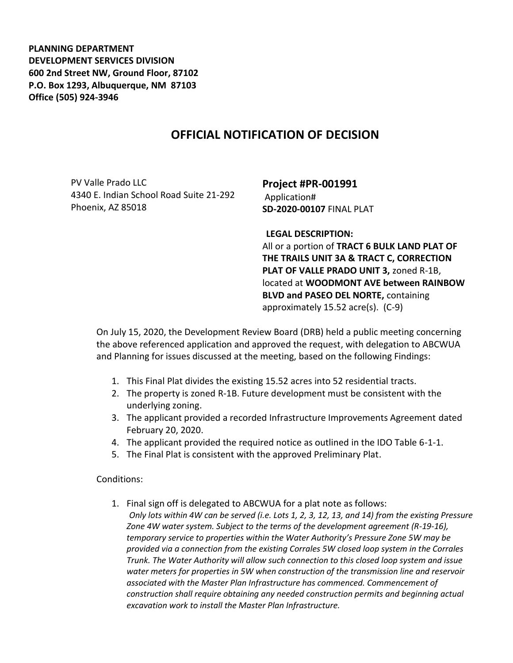**PLANNING DEPARTMENT DEVELOPMENT SERVICES DIVISION 600 2nd Street NW, Ground Floor, 87102 P.O. Box 1293, Albuquerque, NM 87103 Office (505) 924-3946** 

## **OFFICIAL NOTIFICATION OF DECISION**

PV Valle Prado LLC 4340 E. Indian School Road Suite 21-292 Phoenix, AZ 85018

**Project #PR-001991** Application# **SD-2020-00107** FINAL PLAT

**LEGAL DESCRIPTION:**

All or a portion of **TRACT 6 BULK LAND PLAT OF THE TRAILS UNIT 3A & TRACT C, CORRECTION PLAT OF VALLE PRADO UNIT 3,** zoned R-1B, located at **WOODMONT AVE between RAINBOW BLVD and PASEO DEL NORTE,** containing approximately 15.52 acre(s). (C-9)

On July 15, 2020, the Development Review Board (DRB) held a public meeting concerning the above referenced application and approved the request, with delegation to ABCWUA and Planning for issues discussed at the meeting, based on the following Findings:

- 1. This Final Plat divides the existing 15.52 acres into 52 residential tracts.
- 2. The property is zoned R-1B. Future development must be consistent with the underlying zoning.
- 3. The applicant provided a recorded Infrastructure Improvements Agreement dated February 20, 2020.
- 4. The applicant provided the required notice as outlined in the IDO Table 6-1-1.
- 5. The Final Plat is consistent with the approved Preliminary Plat.

Conditions:

1. Final sign off is delegated to ABCWUA for a plat note as follows: *Only lots within 4W can be served (i.e. Lots 1, 2, 3, 12, 13, and 14) from the existing Pressure Zone 4W water system. Subject to the terms of the development agreement (R-19-16), temporary service to properties within the Water Authority's Pressure Zone 5W may be provided via a connection from the existing Corrales 5W closed loop system in the Corrales Trunk. The Water Authority will allow such connection to this closed loop system and issue water meters for properties in 5W when construction of the transmission line and reservoir associated with the Master Plan Infrastructure has commenced. Commencement of construction shall require obtaining any needed construction permits and beginning actual excavation work to install the Master Plan Infrastructure.*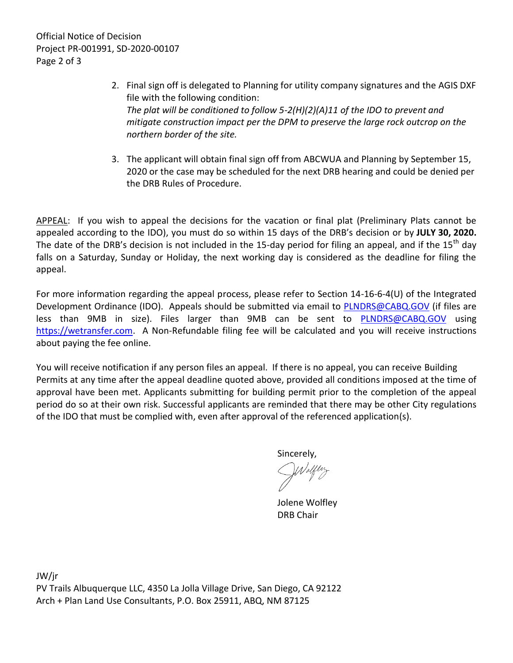Official Notice of Decision Project PR-001991, SD-2020-00107 Page 2 of 3

- 2. Final sign off is delegated to Planning for utility company signatures and the AGIS DXF file with the following condition: *The plat will be conditioned to follow 5-2(H)(2)(A)11 of the IDO to prevent and mitigate construction impact per the DPM to preserve the large rock outcrop on the northern border of the site.*
- 3. The applicant will obtain final sign off from ABCWUA and Planning by September 15, 2020 or the case may be scheduled for the next DRB hearing and could be denied per the DRB Rules of Procedure.

APPEAL: If you wish to appeal the decisions for the vacation or final plat (Preliminary Plats cannot be appealed according to the IDO), you must do so within 15 days of the DRB's decision or by **JULY 30, 2020.**  The date of the DRB's decision is not included in the 15-day period for filing an appeal, and if the 15<sup>th</sup> day falls on a Saturday, Sunday or Holiday, the next working day is considered as the deadline for filing the appeal.

For more information regarding the appeal process, please refer to Section 14-16-6-4(U) of the Integrated Development Ordinance (IDO). Appeals should be submitted via email to **PLNDRS@CABQ.GOV** (if files are less than 9MB in size). Files larger than 9MB can be sent to [PLNDRS@CABQ.GOV](mailto:PLNDRS@CABQ.GOV) using [https://wetransfer.com.](https://wetransfer.com/) A Non-Refundable filing fee will be calculated and you will receive instructions about paying the fee online.

You will receive notification if any person files an appeal. If there is no appeal, you can receive Building Permits at any time after the appeal deadline quoted above, provided all conditions imposed at the time of approval have been met. Applicants submitting for building permit prior to the completion of the appeal period do so at their own risk. Successful applicants are reminded that there may be other City regulations of the IDO that must be complied with, even after approval of the referenced application(s).

Sincerely,

Jolene Wolfley DRB Chair

JW/jr PV Trails Albuquerque LLC, 4350 La Jolla Village Drive, San Diego, CA 92122 Arch + Plan Land Use Consultants, P.O. Box 25911, ABQ, NM 87125